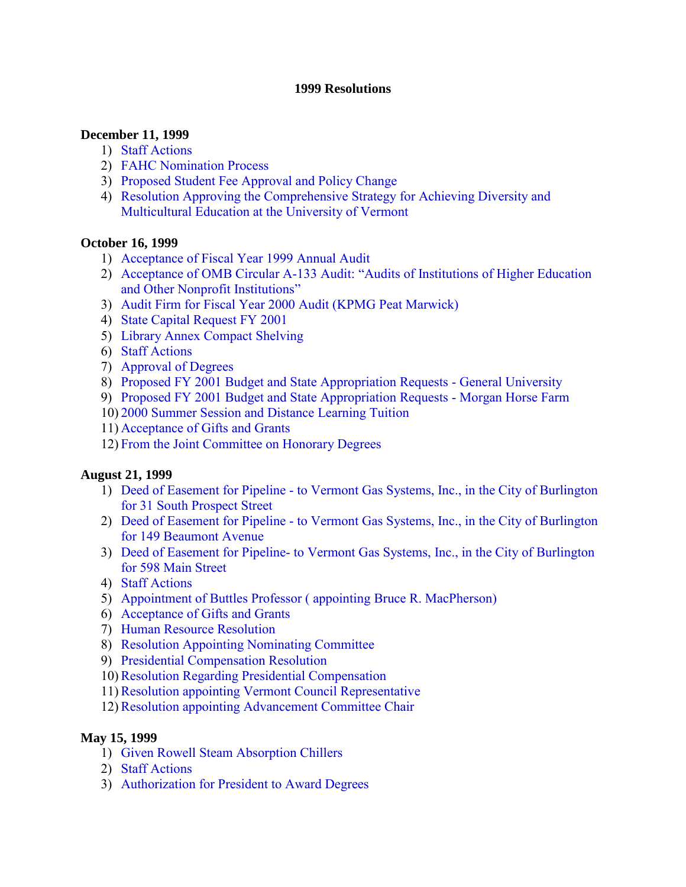#### **1999 Resolutions**

#### **December 11, 1999**

- 1) [Staff Actions](#page-2-0)
- 2) [FAHC Nomination Process](#page-2-0)
- 3) [Proposed Student Fee Approval and Policy Change](#page-3-0)
- 4) [Resolution Approving the Comprehensive Strategy for Achieving Diversity and](#page-3-0)  Multicultural Education at the University of Vermont

#### **October 16, 1999**

- 1) [Acceptance of Fiscal Year 1999 Annual Audit](#page-4-0)
- 2) [Acceptance of OMB Circular A-133 Audit: "Audits of Institutions of Higher Education](#page-4-0) and Other Nonprofit Institutions"
- 3) [Audit Firm for Fiscal Year 2000 Audit \(KPMG Peat Marwick\)](#page-4-0)
- 4) [State Capital Request FY 2001](#page-5-0)
- 5) [Library Annex Compact Shelving](#page-5-0)
- 6) [Staff Actions](#page-5-0)
- 7) [Approval of Degrees](#page-5-0)
- 8) [Proposed FY 2001 Budget and State Appropriation Requests General University](#page-6-0)
- 9) [Proposed FY 2001 Budget and State Appropriation Requests Morgan Horse Farm](#page-6-0)
- 10) [2000 Summer Session and Distance Learning Tuition](#page-6-0)
- 11) [Acceptance of Gifts and Grants](#page-6-0)
- 12) [From the Joint Committee on Honorary Degrees](#page-6-0)

#### **August 21, 1999**

- 1) [Deed of Easement for Pipeline to Vermont Gas Systems, Inc., in the City of Burlington](#page-7-0)  for 31 South Prospect Street
- 2) [Deed of Easement for Pipeline to Vermont Gas Systems, Inc., in the City of Burlington](#page-7-0)  for 149 Beaumont Avenue
- 3) [Deed of Easement for Pipeline- to Vermont Gas Systems, Inc., in the City of Burlington](#page-8-0)  for 598 Main Street
- 4) [Staff Actions](#page-8-0)
- 5) [Appointment of Buttles Professor \( appointing Bruce R. MacPherson\)](#page-8-0)
- 6) [Acceptance of Gifts and Grants](#page-8-0)
- 7) [Human Resource Resolution](#page-8-0)
- 8) [Resolution Appointing Nominating Committee](#page-9-0)
- 9) [Presidential Compensation Resolution](#page-9-0)
- 10)[Resolution Regarding Presidential Compensation](#page-9-0)
- 11)[Resolution appointing Vermont Council Representative](#page-10-0)
- 12)[Resolution appointing Advancement Committee Chair](#page-10-0)

#### **May 15, 1999**

- 1) [Given Rowell Steam Absorption Chillers](#page-11-0)
- 2) [Staff Actions](#page-11-0)
- 3) [Authorization for President to Award Degrees](#page-11-0)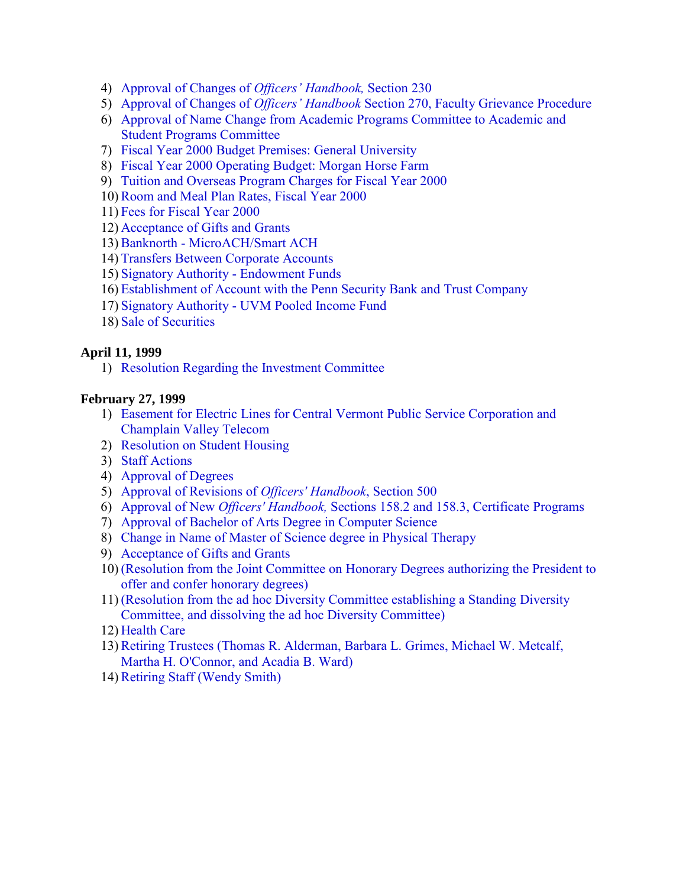- 4) [Approval of Changes of](#page-12-0) *Officers' Handbook,* Section 230
- 5) Approval of Changes of *Officers' Handbook* [Section 270, Faculty Grievance Procedure](#page-12-0)
- 6) [Approval of Name Change from Academic Programs Committee to Academic and](#page-12-0) Student Programs Committee
- 7) [Fiscal Year 2000 Budget Premises: General University](#page-12-0)
- 8) [Fiscal Year 2000 Operating Budget: Morgan Horse Farm](#page-12-0)
- 9) [Tuition and Overseas Program Charges for Fiscal Year 2000](#page-13-0)
- 10[\)Room and Meal Plan Rates, Fiscal Year 2000](#page-13-0)
- 11) [Fees for Fiscal Year 2000](#page-13-0)
- 12) [Acceptance of Gifts and Grants](#page-14-0)
- 13)[Banknorth MicroACH/Smart ACH](#page-14-0)
- 14) [Transfers Between Corporate Accounts](#page-14-0)
- 15) [Signatory Authority Endowment Funds](#page-14-0)
- 16) [Establishment of Account with the Penn Security Bank and Trust Company](#page-15-0)
- 17) [Signatory Authority UVM Pooled Income Fund](#page-15-0)
- 18) [Sale of Securities](#page-16-0)

#### **April 11, 1999**

1) [Resolution Regarding the Investment Committee](#page-17-0)

#### **February 27, 1999**

- 1) [Easement for Electric Lines for Central Vermont Public Service Corporation and](#page-18-0)  Champlain Valley Telecom
- 2) [Resolution on Student Housing](#page-18-0)
- 3) [Staff Actions](#page-19-0)
- 4) [Approval of Degrees](#page-19-0)
- 5) [Approval of Revisions of](#page-19-0) *Officers' Handbook*, Section 500
- 6) Approval of New *Officers' Handbook,* [Sections 158.2 and 158.3, Certificate Programs](#page-19-0)
- 7) [Approval of Bachelor of Arts Degree in Computer Science](#page-19-0)
- 8) [Change in Name of Master of Science degree in Physical Therapy](#page-19-0)
- 9) [Acceptance of Gifts and Grants](#page-19-0)
- 10) [\(Resolution from the Joint Committee on Honorary Degrees authorizing the President to](#page-20-0) offer and confer honorary degrees)
- 11) [\(Resolution from the ad hoc Diversity Committee establishing a Standing Diversity](#page-20-0)  Committee, and dissolving the ad hoc Diversity Committee)
- 12) [Health Care](#page-20-0)
- 13)[Retiring Trustees \(Thomas R. Alderman, Barbara L. Grimes, Michael W. Metcalf,](#page-20-0) Martha H. O'Connor, and Acadia B. Ward)
- 14) Retiring Staff [\(Wendy Smith\)](#page-21-0)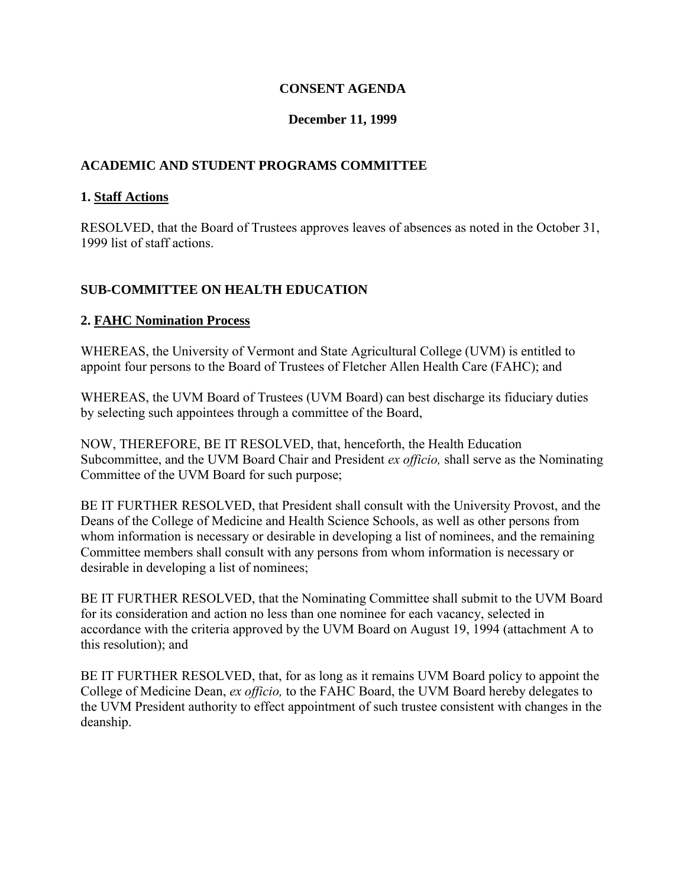### **CONSENT AGENDA**

### **December 11, 1999**

## <span id="page-2-0"></span>**ACADEMIC AND STUDENT PROGRAMS COMMITTEE**

#### **1. Staff Actions**

RESOLVED, that the Board of Trustees approves leaves of absences as noted in the October 31, 1999 list of staff actions.

## **SUB-COMMITTEE ON HEALTH EDUCATION**

#### **2. FAHC Nomination Process**

WHEREAS, the University of Vermont and State Agricultural College (UVM) is entitled to appoint four persons to the Board of Trustees of Fletcher Allen Health Care (FAHC); and

WHEREAS, the UVM Board of Trustees (UVM Board) can best discharge its fiduciary duties by selecting such appointees through a committee of the Board,

NOW, THEREFORE, BE IT RESOLVED, that, henceforth, the Health Education Subcommittee, and the UVM Board Chair and President *ex officio,* shall serve as the Nominating Committee of the UVM Board for such purpose;

BE IT FURTHER RESOLVED, that President shall consult with the University Provost, and the Deans of the College of Medicine and Health Science Schools, as well as other persons from whom information is necessary or desirable in developing a list of nominees, and the remaining Committee members shall consult with any persons from whom information is necessary or desirable in developing a list of nominees;

BE IT FURTHER RESOLVED, that the Nominating Committee shall submit to the UVM Board for its consideration and action no less than one nominee for each vacancy, selected in accordance with the criteria approved by the UVM Board on August 19, 1994 (attachment A to this resolution); and

BE IT FURTHER RESOLVED, that, for as long as it remains UVM Board policy to appoint the College of Medicine Dean, *ex officio,* to the FAHC Board, the UVM Board hereby delegates to the UVM President authority to effect appointment of such trustee consistent with changes in the deanship.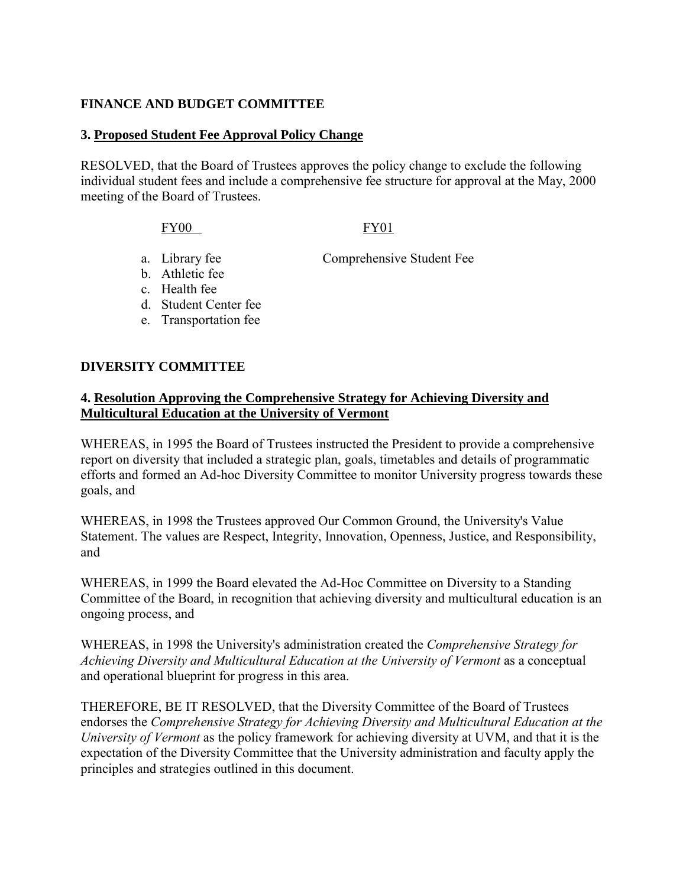#### <span id="page-3-0"></span>**FINANCE AND BUDGET COMMITTEE**

#### **3. Proposed Student Fee Approval Policy Change**

RESOLVED, that the Board of Trustees approves the policy change to exclude the following individual student fees and include a comprehensive fee structure for approval at the May, 2000 meeting of the Board of Trustees.

FY00 FY01

a. Library fee Comprehensive Student Fee

- b. Athletic fee
- c. Health fee
- d. Student Center fee
- e. Transportation fee

#### **DIVERSITY COMMITTEE**

#### **4. Resolution Approving the Comprehensive Strategy for Achieving Diversity and Multicultural Education at the University of Vermont**

WHEREAS, in 1995 the Board of Trustees instructed the President to provide a comprehensive report on diversity that included a strategic plan, goals, timetables and details of programmatic efforts and formed an Ad-hoc Diversity Committee to monitor University progress towards these goals, and

WHEREAS, in 1998 the Trustees approved Our Common Ground, the University's Value Statement. The values are Respect, Integrity, Innovation, Openness, Justice, and Responsibility, and

WHEREAS, in 1999 the Board elevated the Ad-Hoc Committee on Diversity to a Standing Committee of the Board, in recognition that achieving diversity and multicultural education is an ongoing process, and

WHEREAS, in 1998 the University's administration created the *Comprehensive Strategy for*  Achieving Diversity and Multicultural Education at the University of Vermont as a conceptual and operational blueprint for progress in this area.

THEREFORE, BE IT RESOLVED, that the Diversity Committee of the Board of Trustees endorses the *Comprehensive Strategy for Achieving Diversity and Multicultural Education at the University of Vermont* as the policy framework for achieving diversity at UVM, and that it is the expectation of the Diversity Committee that the University administration and faculty apply the principles and strategies outlined in this document.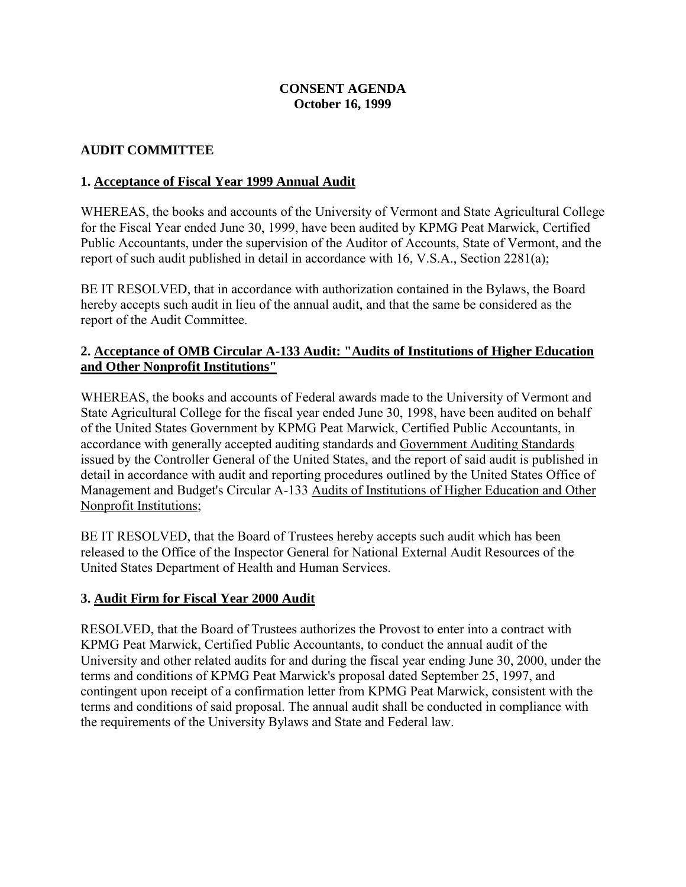#### **CONSENT AGENDA October 16, 1999**

### <span id="page-4-0"></span>**AUDIT COMMITTEE**

### **1. Acceptance of Fiscal Year 1999 Annual Audit**

WHEREAS, the books and accounts of the University of Vermont and State Agricultural College for the Fiscal Year ended June 30, 1999, have been audited by KPMG Peat Marwick, Certified Public Accountants, under the supervision of the Auditor of Accounts, State of Vermont, and the report of such audit published in detail in accordance with 16, V.S.A., Section 2281(a);

BE IT RESOLVED, that in accordance with authorization contained in the Bylaws, the Board hereby accepts such audit in lieu of the annual audit, and that the same be considered as the report of the Audit Committee.

#### **2. Acceptance of OMB Circular A-133 Audit: "Audits of Institutions of Higher Education and Other Nonprofit Institutions"**

WHEREAS, the books and accounts of Federal awards made to the University of Vermont and State Agricultural College for the fiscal year ended June 30, 1998, have been audited on behalf of the United States Government by KPMG Peat Marwick, Certified Public Accountants, in accordance with generally accepted auditing standards and Government Auditing Standards issued by the Controller General of the United States, and the report of said audit is published in detail in accordance with audit and reporting procedures outlined by the United States Office of Management and Budget's Circular A-133 Audits of Institutions of Higher Education and Other Nonprofit Institutions;

BE IT RESOLVED, that the Board of Trustees hereby accepts such audit which has been released to the Office of the Inspector General for National External Audit Resources of the United States Department of Health and Human Services.

### **3. Audit Firm for Fiscal Year 2000 Audit**

RESOLVED, that the Board of Trustees authorizes the Provost to enter into a contract with KPMG Peat Marwick, Certified Public Accountants, to conduct the annual audit of the University and other related audits for and during the fiscal year ending June 30, 2000, under the terms and conditions of KPMG Peat Marwick's proposal dated September 25, 1997, and contingent upon receipt of a confirmation letter from KPMG Peat Marwick, consistent with the terms and conditions of said proposal. The annual audit shall be conducted in compliance with the requirements of the University Bylaws and State and Federal law.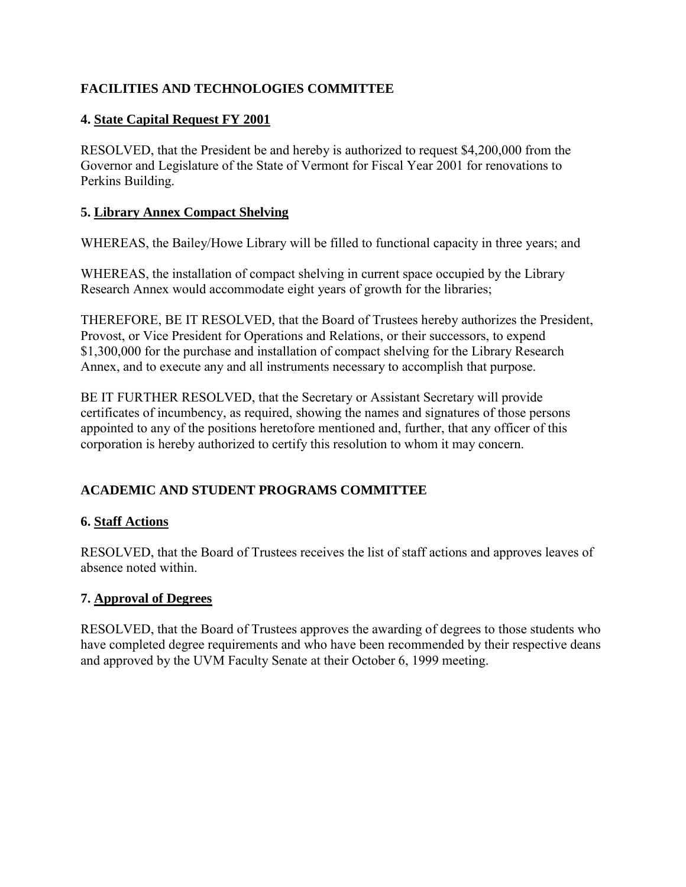# <span id="page-5-0"></span>**FACILITIES AND TECHNOLOGIES COMMITTEE**

## **4. State Capital Request FY 2001**

RESOLVED, that the President be and hereby is authorized to request \$4,200,000 from the Governor and Legislature of the State of Vermont for Fiscal Year 2001 for renovations to Perkins Building.

### **5. Library Annex Compact Shelving**

WHEREAS, the Bailey/Howe Library will be filled to functional capacity in three years; and

WHEREAS, the installation of compact shelving in current space occupied by the Library Research Annex would accommodate eight years of growth for the libraries;

THEREFORE, BE IT RESOLVED, that the Board of Trustees hereby authorizes the President, Provost, or Vice President for Operations and Relations, or their successors, to expend \$1,300,000 for the purchase and installation of compact shelving for the Library Research Annex, and to execute any and all instruments necessary to accomplish that purpose.

BE IT FURTHER RESOLVED, that the Secretary or Assistant Secretary will provide certificates of incumbency, as required, showing the names and signatures of those persons appointed to any of the positions heretofore mentioned and, further, that any officer of this corporation is hereby authorized to certify this resolution to whom it may concern.

# **ACADEMIC AND STUDENT PROGRAMS COMMITTEE**

# **6. Staff Actions**

RESOLVED, that the Board of Trustees receives the list of staff actions and approves leaves of absence noted within.

### **7. Approval of Degrees**

RESOLVED, that the Board of Trustees approves the awarding of degrees to those students who have completed degree requirements and who have been recommended by their respective deans and approved by the UVM Faculty Senate at their October 6, 1999 meeting.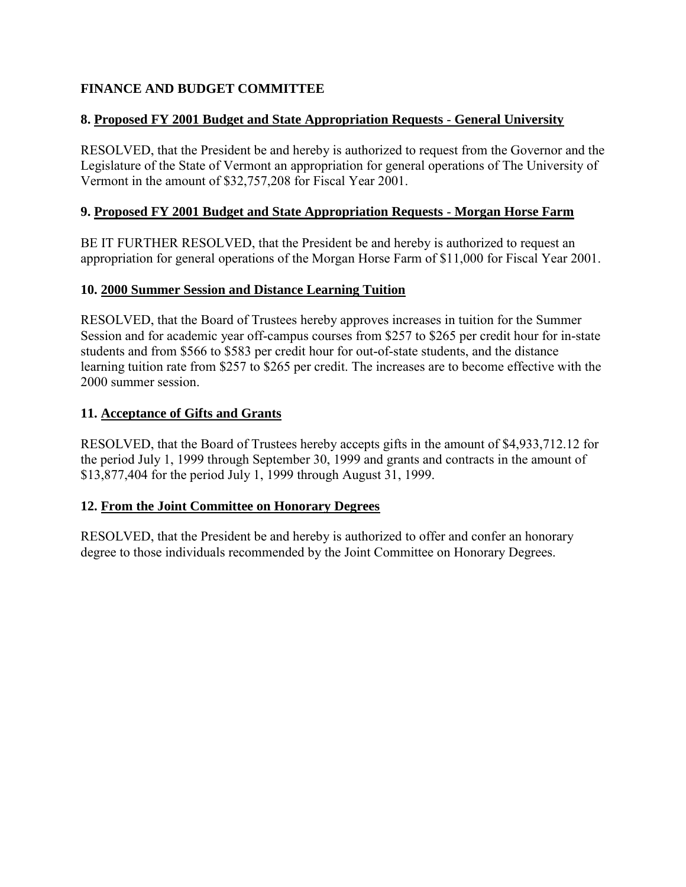# <span id="page-6-0"></span>**FINANCE AND BUDGET COMMITTEE**

## **8. Proposed FY 2001 Budget and State Appropriation Requests** - **General University**

RESOLVED, that the President be and hereby is authorized to request from the Governor and the Legislature of the State of Vermont an appropriation for general operations of The University of Vermont in the amount of \$32,757,208 for Fiscal Year 2001.

### **9. Proposed FY 2001 Budget and State Appropriation Requests** - **Morgan Horse Farm**

BE IT FURTHER RESOLVED, that the President be and hereby is authorized to request an appropriation for general operations of the Morgan Horse Farm of \$11,000 for Fiscal Year 2001.

## **10. 2000 Summer Session and Distance Learning Tuition**

RESOLVED, that the Board of Trustees hereby approves increases in tuition for the Summer Session and for academic year off-campus courses from \$257 to \$265 per credit hour for in-state students and from \$566 to \$583 per credit hour for out-of-state students, and the distance learning tuition rate from \$257 to \$265 per credit. The increases are to become effective with the 2000 summer session.

## **11. Acceptance of Gifts and Grants**

RESOLVED, that the Board of Trustees hereby accepts gifts in the amount of \$4,933,712.12 for the period July 1, 1999 through September 30, 1999 and grants and contracts in the amount of \$13,877,404 for the period July 1, 1999 through August 31, 1999.

### **12. From the Joint Committee on Honorary Degrees**

RESOLVED, that the President be and hereby is authorized to offer and confer an honorary degree to those individuals recommended by the Joint Committee on Honorary Degrees.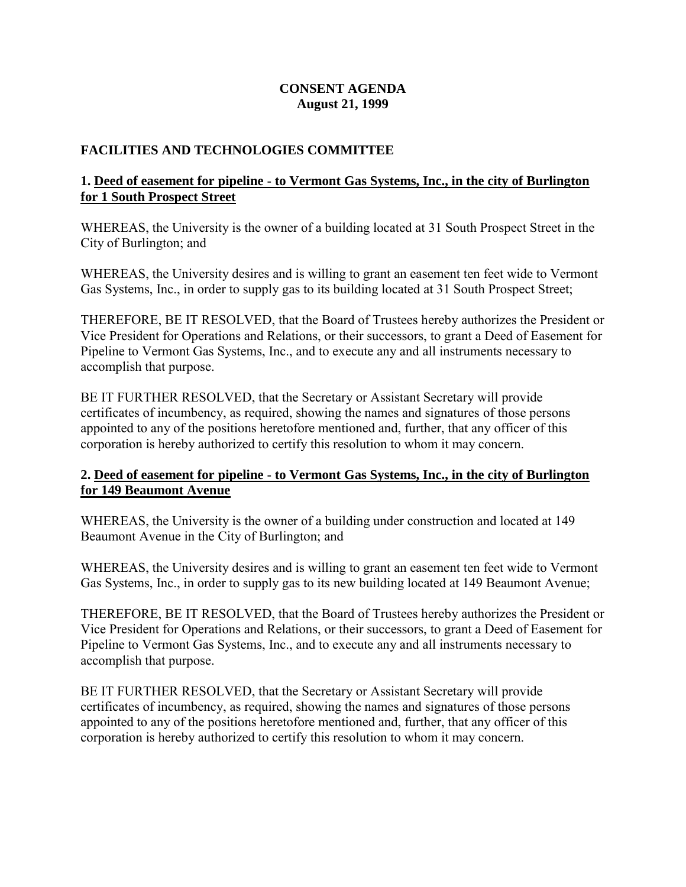### **CONSENT AGENDA August 21, 1999**

### <span id="page-7-0"></span>**FACILITIES AND TECHNOLOGIES COMMITTEE**

## **1. Deed of easement for pipeline** - **to Vermont Gas Systems, Inc., in the city of Burlington for 1 South Prospect Street**

WHEREAS, the University is the owner of a building located at 31 South Prospect Street in the City of Burlington; and

WHEREAS, the University desires and is willing to grant an easement ten feet wide to Vermont Gas Systems, Inc., in order to supply gas to its building located at 31 South Prospect Street;

THEREFORE, BE IT RESOLVED, that the Board of Trustees hereby authorizes the President or Vice President for Operations and Relations, or their successors, to grant a Deed of Easement for Pipeline to Vermont Gas Systems, Inc., and to execute any and all instruments necessary to accomplish that purpose.

BE IT FURTHER RESOLVED, that the Secretary or Assistant Secretary will provide certificates of incumbency, as required, showing the names and signatures of those persons appointed to any of the positions heretofore mentioned and, further, that any officer of this corporation is hereby authorized to certify this resolution to whom it may concern.

## **2. Deed of easement for pipeline** - **to Vermont Gas Systems, Inc., in the city of Burlington for 149 Beaumont Avenue**

WHEREAS, the University is the owner of a building under construction and located at 149 Beaumont Avenue in the City of Burlington; and

WHEREAS, the University desires and is willing to grant an easement ten feet wide to Vermont Gas Systems, Inc., in order to supply gas to its new building located at 149 Beaumont Avenue;

THEREFORE, BE IT RESOLVED, that the Board of Trustees hereby authorizes the President or Vice President for Operations and Relations, or their successors, to grant a Deed of Easement for Pipeline to Vermont Gas Systems, Inc., and to execute any and all instruments necessary to accomplish that purpose.

BE IT FURTHER RESOLVED, that the Secretary or Assistant Secretary will provide certificates of incumbency, as required, showing the names and signatures of those persons appointed to any of the positions heretofore mentioned and, further, that any officer of this corporation is hereby authorized to certify this resolution to whom it may concern.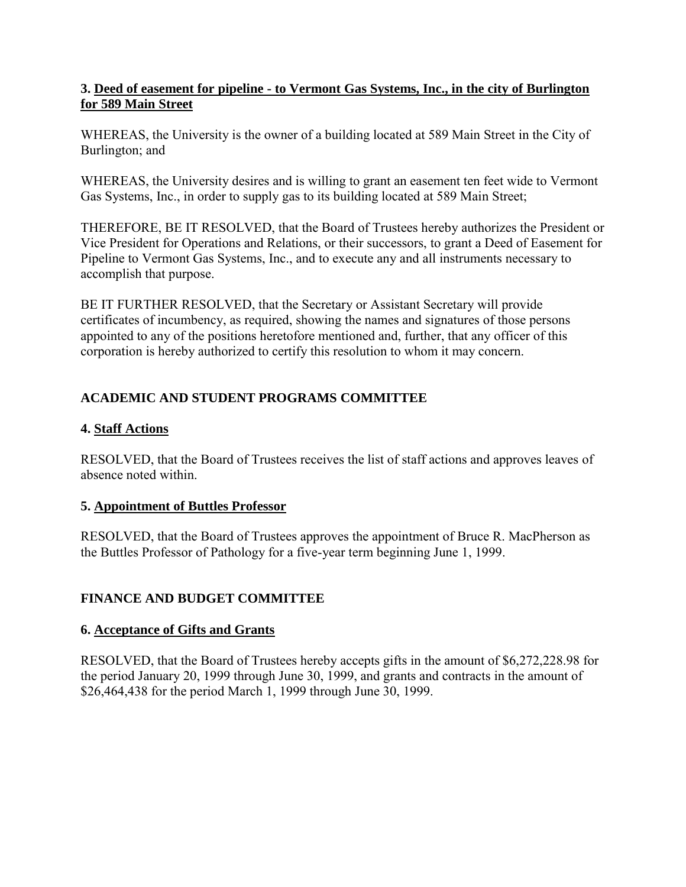### <span id="page-8-0"></span>**3. Deed of easement for pipeline - to Vermont Gas Systems, Inc., in the city of Burlington for 589 Main Street**

WHEREAS, the University is the owner of a building located at 589 Main Street in the City of Burlington; and

WHEREAS, the University desires and is willing to grant an easement ten feet wide to Vermont Gas Systems, Inc., in order to supply gas to its building located at 589 Main Street;

THEREFORE, BE IT RESOLVED, that the Board of Trustees hereby authorizes the President or Vice President for Operations and Relations, or their successors, to grant a Deed of Easement for Pipeline to Vermont Gas Systems, Inc., and to execute any and all instruments necessary to accomplish that purpose.

BE IT FURTHER RESOLVED, that the Secretary or Assistant Secretary will provide certificates of incumbency, as required, showing the names and signatures of those persons appointed to any of the positions heretofore mentioned and, further, that any officer of this corporation is hereby authorized to certify this resolution to whom it may concern.

# **ACADEMIC AND STUDENT PROGRAMS COMMITTEE**

# **4. Staff Actions**

RESOLVED, that the Board of Trustees receives the list of staff actions and approves leaves of absence noted within.

# **5. Appointment of Buttles Professor**

RESOLVED, that the Board of Trustees approves the appointment of Bruce R. MacPherson as the Buttles Professor of Pathology for a five-year term beginning June 1, 1999.

# **FINANCE AND BUDGET COMMITTEE**

# **6. Acceptance of Gifts and Grants**

RESOLVED, that the Board of Trustees hereby accepts gifts in the amount of \$6,272,228.98 for the period January 20, 1999 through June 30, 1999, and grants and contracts in the amount of \$26,464,438 for the period March 1, 1999 through June 30, 1999.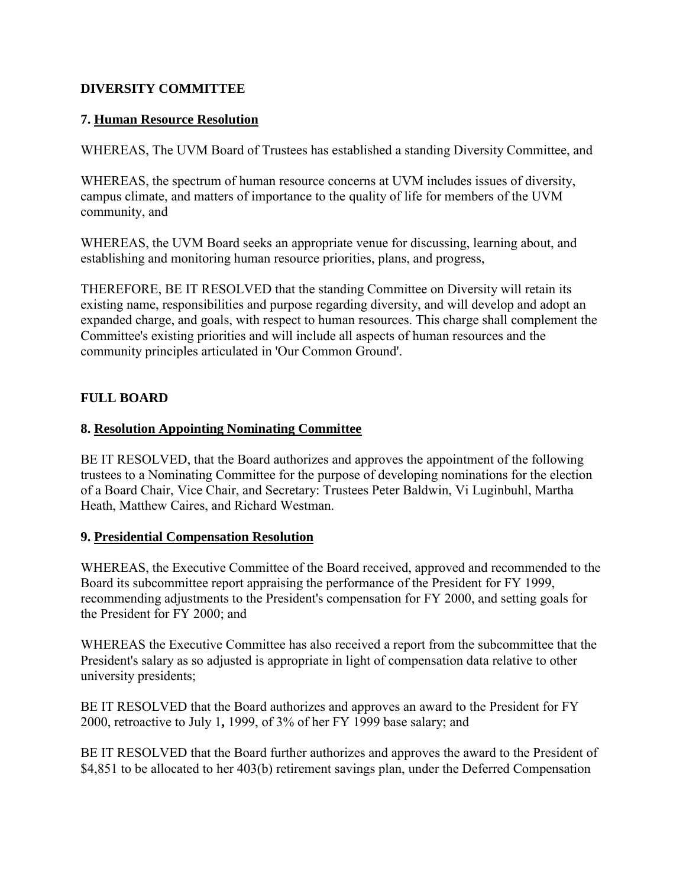### <span id="page-9-0"></span>**DIVERSITY COMMITTEE**

### **7. Human Resource Resolution**

WHEREAS, The UVM Board of Trustees has established a standing Diversity Committee, and

WHEREAS, the spectrum of human resource concerns at UVM includes issues of diversity, campus climate, and matters of importance to the quality of life for members of the UVM community, and

WHEREAS, the UVM Board seeks an appropriate venue for discussing, learning about, and establishing and monitoring human resource priorities, plans, and progress,

THEREFORE, BE IT RESOLVED that the standing Committee on Diversity will retain its existing name, responsibilities and purpose regarding diversity, and will develop and adopt an expanded charge, and goals, with respect to human resources. This charge shall complement the Committee's existing priorities and will include all aspects of human resources and the community principles articulated in 'Our Common Ground'.

## **FULL BOARD**

### **8. Resolution Appointing Nominating Committee**

BE IT RESOLVED, that the Board authorizes and approves the appointment of the following trustees to a Nominating Committee for the purpose of developing nominations for the election of a Board Chair, Vice Chair, and Secretary: Trustees Peter Baldwin, Vi Luginbuhl, Martha Heath, Matthew Caires, and Richard Westman.

### **9. Presidential Compensation Resolution**

WHEREAS, the Executive Committee of the Board received, approved and recommended to the Board its subcommittee report appraising the performance of the President for FY 1999, recommending adjustments to the President's compensation for FY 2000, and setting goals for the President for FY 2000; and

WHEREAS the Executive Committee has also received a report from the subcommittee that the President's salary as so adjusted is appropriate in light of compensation data relative to other university presidents;

BE IT RESOLVED that the Board authorizes and approves an award to the President for FY 2000, retroactive to July 1**,** 1999, of 3% of her FY 1999 base salary; and

BE IT RESOLVED that the Board further authorizes and approves the award to the President of \$4,851 to be allocated to her 403(b) retirement savings plan, under the Deferred Compensation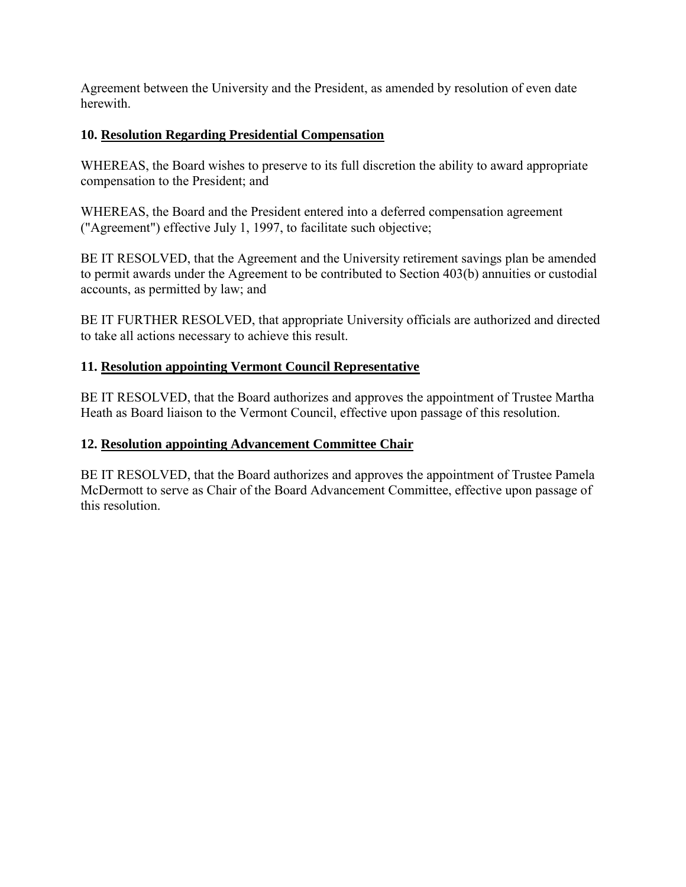<span id="page-10-0"></span>Agreement between the University and the President, as amended by resolution of even date herewith.

# **10. Resolution Regarding Presidential Compensation**

WHEREAS, the Board wishes to preserve to its full discretion the ability to award appropriate compensation to the President; and

WHEREAS, the Board and the President entered into a deferred compensation agreement ("Agreement") effective July 1, 1997, to facilitate such objective;

BE IT RESOLVED, that the Agreement and the University retirement savings plan be amended to permit awards under the Agreement to be contributed to Section 403(b) annuities or custodial accounts, as permitted by law; and

BE IT FURTHER RESOLVED, that appropriate University officials are authorized and directed to take all actions necessary to achieve this result.

# **11. Resolution appointing Vermont Council Representative**

BE IT RESOLVED, that the Board authorizes and approves the appointment of Trustee Martha Heath as Board liaison to the Vermont Council, effective upon passage of this resolution.

# **12. Resolution appointing Advancement Committee Chair**

BE IT RESOLVED, that the Board authorizes and approves the appointment of Trustee Pamela McDermott to serve as Chair of the Board Advancement Committee, effective upon passage of this resolution.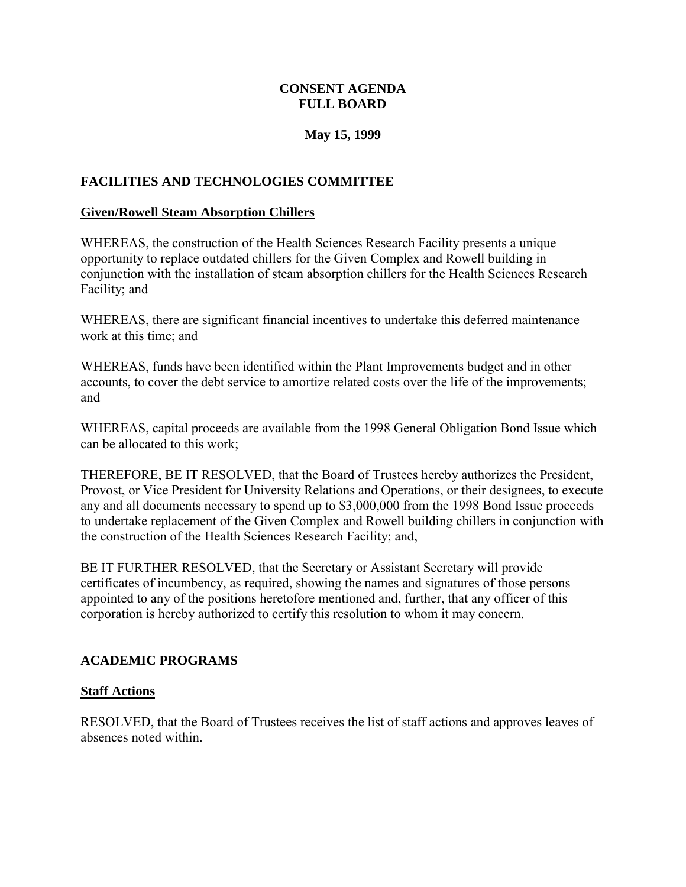### **CONSENT AGENDA FULL BOARD**

### **May 15, 1999**

### <span id="page-11-0"></span>**FACILITIES AND TECHNOLOGIES COMMITTEE**

#### **Given/Rowell Steam Absorption Chillers**

WHEREAS, the construction of the Health Sciences Research Facility presents a unique opportunity to replace outdated chillers for the Given Complex and Rowell building in conjunction with the installation of steam absorption chillers for the Health Sciences Research Facility; and

WHEREAS, there are significant financial incentives to undertake this deferred maintenance work at this time; and

WHEREAS, funds have been identified within the Plant Improvements budget and in other accounts, to cover the debt service to amortize related costs over the life of the improvements; and

WHEREAS, capital proceeds are available from the 1998 General Obligation Bond Issue which can be allocated to this work;

THEREFORE, BE IT RESOLVED, that the Board of Trustees hereby authorizes the President, Provost, or Vice President for University Relations and Operations, or their designees, to execute any and all documents necessary to spend up to \$3,000,000 from the 1998 Bond Issue proceeds to undertake replacement of the Given Complex and Rowell building chillers in conjunction with the construction of the Health Sciences Research Facility; and,

BE IT FURTHER RESOLVED, that the Secretary or Assistant Secretary will provide certificates of incumbency, as required, showing the names and signatures of those persons appointed to any of the positions heretofore mentioned and, further, that any officer of this corporation is hereby authorized to certify this resolution to whom it may concern.

### **ACADEMIC PROGRAMS**

### **Staff Actions**

RESOLVED, that the Board of Trustees receives the list of staff actions and approves leaves of absences noted within.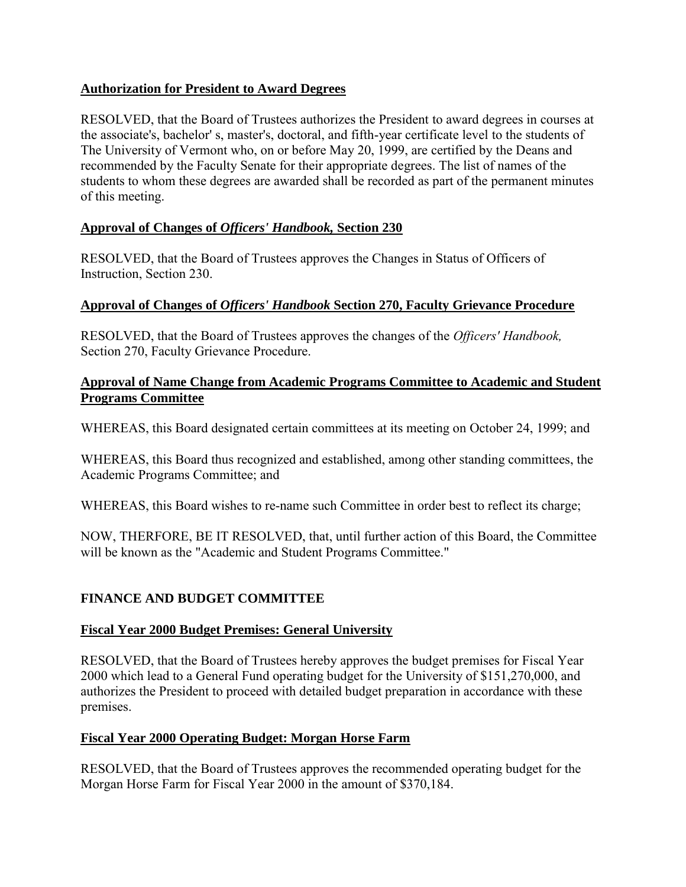### <span id="page-12-0"></span>**Authorization for President to Award Degrees**

RESOLVED, that the Board of Trustees authorizes the President to award degrees in courses at the associate's, bachelor' s, master's, doctoral, and fifth-year certificate level to the students of The University of Vermont who, on or before May 20, 1999, are certified by the Deans and recommended by the Faculty Senate for their appropriate degrees. The list of names of the students to whom these degrees are awarded shall be recorded as part of the permanent minutes of this meeting.

## **Approval of Changes of** *Officers' Handbook,* **Section 230**

RESOLVED, that the Board of Trustees approves the Changes in Status of Officers of Instruction, Section 230.

### **Approval of Changes of** *Officers' Handbook* **Section 270, Faculty Grievance Procedure**

RESOLVED, that the Board of Trustees approves the changes of the *Officers' Handbook,*  Section 270, Faculty Grievance Procedure.

### **Approval of Name Change from Academic Programs Committee to Academic and Student Programs Committee**

WHEREAS, this Board designated certain committees at its meeting on October 24, 1999; and

WHEREAS, this Board thus recognized and established, among other standing committees, the Academic Programs Committee; and

WHEREAS, this Board wishes to re-name such Committee in order best to reflect its charge;

NOW, THERFORE, BE IT RESOLVED, that, until further action of this Board, the Committee will be known as the "Academic and Student Programs Committee."

# **FINANCE AND BUDGET COMMITTEE**

### **Fiscal Year 2000 Budget Premises: General University**

RESOLVED, that the Board of Trustees hereby approves the budget premises for Fiscal Year 2000 which lead to a General Fund operating budget for the University of \$151,270,000, and authorizes the President to proceed with detailed budget preparation in accordance with these premises.

### **Fiscal Year 2000 Operating Budget: Morgan Horse Farm**

RESOLVED, that the Board of Trustees approves the recommended operating budget for the Morgan Horse Farm for Fiscal Year 2000 in the amount of \$370,184.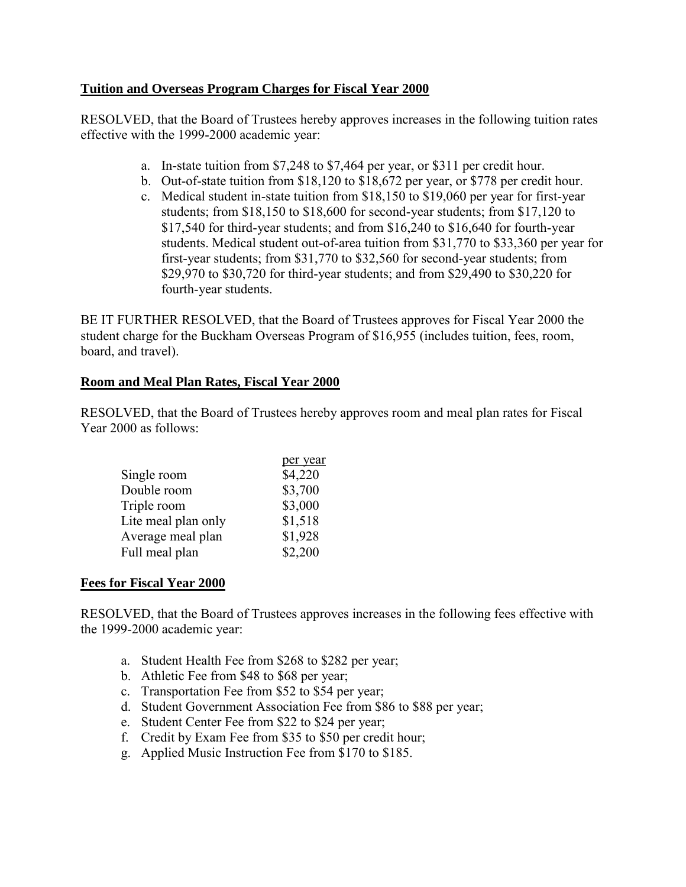### <span id="page-13-0"></span>**Tuition and Overseas Program Charges for Fiscal Year 2000**

RESOLVED, that the Board of Trustees hereby approves increases in the following tuition rates effective with the 1999-2000 academic year:

- a. In-state tuition from \$7,248 to \$7,464 per year, or \$311 per credit hour.
- b. Out-of-state tuition from \$18,120 to \$18,672 per year, or \$778 per credit hour.
- c. Medical student in-state tuition from \$18,150 to \$19,060 per year for first-year students; from \$18,150 to \$18,600 for second-year students; from \$17,120 to \$17,540 for third-year students; and from \$16,240 to \$16,640 for fourth-year students. Medical student out-of-area tuition from \$31,770 to \$33,360 per year for first-year students; from \$31,770 to \$32,560 for second-year students; from \$29,970 to \$30,720 for third-year students; and from \$29,490 to \$30,220 for fourth-year students.

BE IT FURTHER RESOLVED, that the Board of Trustees approves for Fiscal Year 2000 the student charge for the Buckham Overseas Program of \$16,955 (includes tuition, fees, room, board, and travel).

## **Room and Meal Plan Rates, Fiscal Year 2000**

RESOLVED, that the Board of Trustees hereby approves room and meal plan rates for Fiscal Year 2000 as follows:

|                     | per year |
|---------------------|----------|
| Single room         | \$4,220  |
| Double room         | \$3,700  |
| Triple room         | \$3,000  |
| Lite meal plan only | \$1,518  |
| Average meal plan   | \$1,928  |
| Full meal plan      | \$2,200  |

### **Fees for Fiscal Year 2000**

RESOLVED, that the Board of Trustees approves increases in the following fees effective with the 1999-2000 academic year:

- a. Student Health Fee from \$268 to \$282 per year;
- b. Athletic Fee from \$48 to \$68 per year;
- c. Transportation Fee from \$52 to \$54 per year;
- d. Student Government Association Fee from \$86 to \$88 per year;
- e. Student Center Fee from \$22 to \$24 per year;
- f. Credit by Exam Fee from \$35 to \$50 per credit hour;
- g. Applied Music Instruction Fee from \$170 to \$185.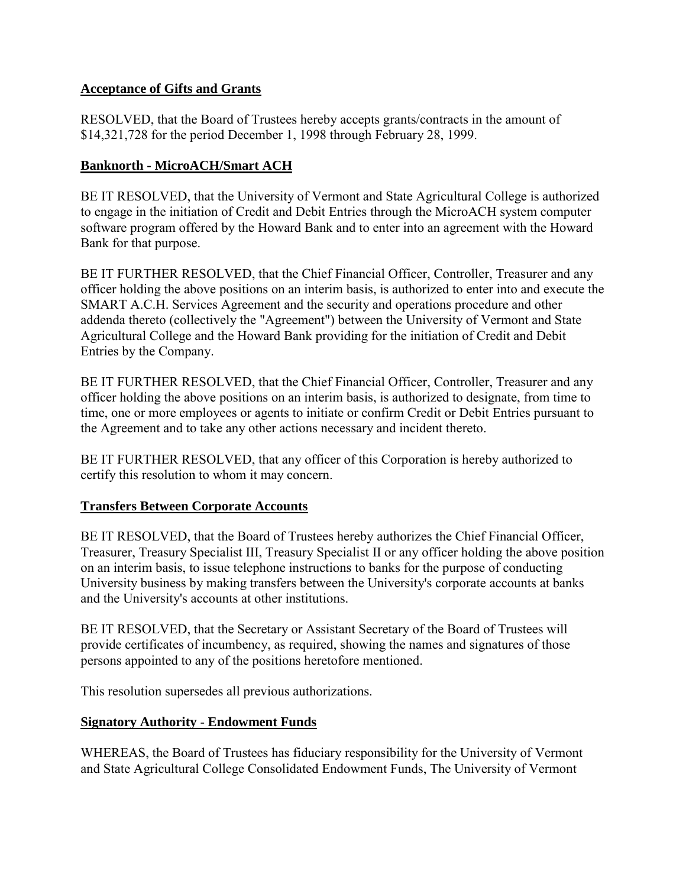### <span id="page-14-0"></span>**Acceptance of Gifts and Grants**

RESOLVED, that the Board of Trustees hereby accepts grants/contracts in the amount of \$14,321,728 for the period December 1, 1998 through February 28, 1999.

# **Banknorth - MicroACH/Smart ACH**

BE IT RESOLVED, that the University of Vermont and State Agricultural College is authorized to engage in the initiation of Credit and Debit Entries through the MicroACH system computer software program offered by the Howard Bank and to enter into an agreement with the Howard Bank for that purpose.

BE IT FURTHER RESOLVED, that the Chief Financial Officer, Controller, Treasurer and any officer holding the above positions on an interim basis, is authorized to enter into and execute the SMART A.C.H. Services Agreement and the security and operations procedure and other addenda thereto (collectively the "Agreement") between the University of Vermont and State Agricultural College and the Howard Bank providing for the initiation of Credit and Debit Entries by the Company.

BE IT FURTHER RESOLVED, that the Chief Financial Officer, Controller, Treasurer and any officer holding the above positions on an interim basis, is authorized to designate, from time to time, one or more employees or agents to initiate or confirm Credit or Debit Entries pursuant to the Agreement and to take any other actions necessary and incident thereto.

BE IT FURTHER RESOLVED, that any officer of this Corporation is hereby authorized to certify this resolution to whom it may concern.

### **Transfers Between Corporate Accounts**

BE IT RESOLVED, that the Board of Trustees hereby authorizes the Chief Financial Officer, Treasurer, Treasury Specialist III, Treasury Specialist II or any officer holding the above position on an interim basis, to issue telephone instructions to banks for the purpose of conducting University business by making transfers between the University's corporate accounts at banks and the University's accounts at other institutions.

BE IT RESOLVED, that the Secretary or Assistant Secretary of the Board of Trustees will provide certificates of incumbency, as required, showing the names and signatures of those persons appointed to any of the positions heretofore mentioned.

This resolution supersedes all previous authorizations.

### **Signatory Authority** - **Endowment Funds**

WHEREAS, the Board of Trustees has fiduciary responsibility for the University of Vermont and State Agricultural College Consolidated Endowment Funds, The University of Vermont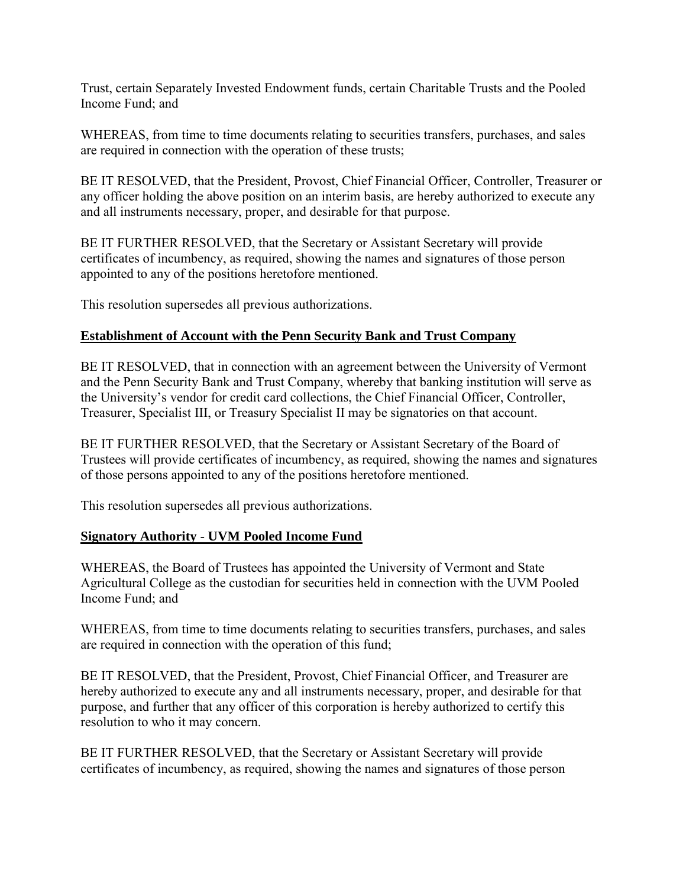<span id="page-15-0"></span>Trust, certain Separately Invested Endowment funds, certain Charitable Trusts and the Pooled Income Fund; and

WHEREAS, from time to time documents relating to securities transfers, purchases, and sales are required in connection with the operation of these trusts;

BE IT RESOLVED, that the President, Provost, Chief Financial Officer, Controller, Treasurer or any officer holding the above position on an interim basis, are hereby authorized to execute any and all instruments necessary, proper, and desirable for that purpose.

BE IT FURTHER RESOLVED, that the Secretary or Assistant Secretary will provide certificates of incumbency, as required, showing the names and signatures of those person appointed to any of the positions heretofore mentioned.

This resolution supersedes all previous authorizations.

### **Establishment of Account with the Penn Security Bank and Trust Company**

BE IT RESOLVED, that in connection with an agreement between the University of Vermont and the Penn Security Bank and Trust Company, whereby that banking institution will serve as the University's vendor for credit card collections, the Chief Financial Officer, Controller, Treasurer, Specialist III, or Treasury Specialist II may be signatories on that account.

BE IT FURTHER RESOLVED, that the Secretary or Assistant Secretary of the Board of Trustees will provide certificates of incumbency, as required, showing the names and signatures of those persons appointed to any of the positions heretofore mentioned.

This resolution supersedes all previous authorizations.

#### **Signatory Authority** - **UVM Pooled Income Fund**

WHEREAS, the Board of Trustees has appointed the University of Vermont and State Agricultural College as the custodian for securities held in connection with the UVM Pooled Income Fund; and

WHEREAS, from time to time documents relating to securities transfers, purchases, and sales are required in connection with the operation of this fund;

BE IT RESOLVED, that the President, Provost, Chief Financial Officer, and Treasurer are hereby authorized to execute any and all instruments necessary, proper, and desirable for that purpose, and further that any officer of this corporation is hereby authorized to certify this resolution to who it may concern.

BE IT FURTHER RESOLVED, that the Secretary or Assistant Secretary will provide certificates of incumbency, as required, showing the names and signatures of those person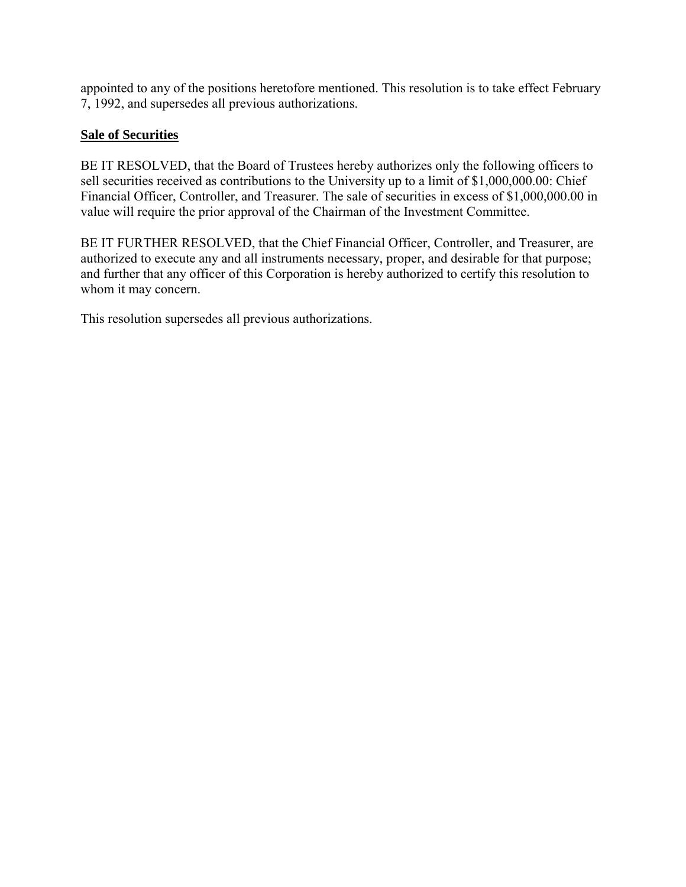<span id="page-16-0"></span>appointed to any of the positions heretofore mentioned. This resolution is to take effect February 7, 1992, and supersedes all previous authorizations.

# **Sale of Securities**

BE IT RESOLVED, that the Board of Trustees hereby authorizes only the following officers to sell securities received as contributions to the University up to a limit of \$1,000,000.00: Chief Financial Officer, Controller, and Treasurer. The sale of securities in excess of \$1,000,000.00 in value will require the prior approval of the Chairman of the Investment Committee.

BE IT FURTHER RESOLVED, that the Chief Financial Officer, Controller, and Treasurer, are authorized to execute any and all instruments necessary, proper, and desirable for that purpose; and further that any officer of this Corporation is hereby authorized to certify this resolution to whom it may concern.

This resolution supersedes all previous authorizations.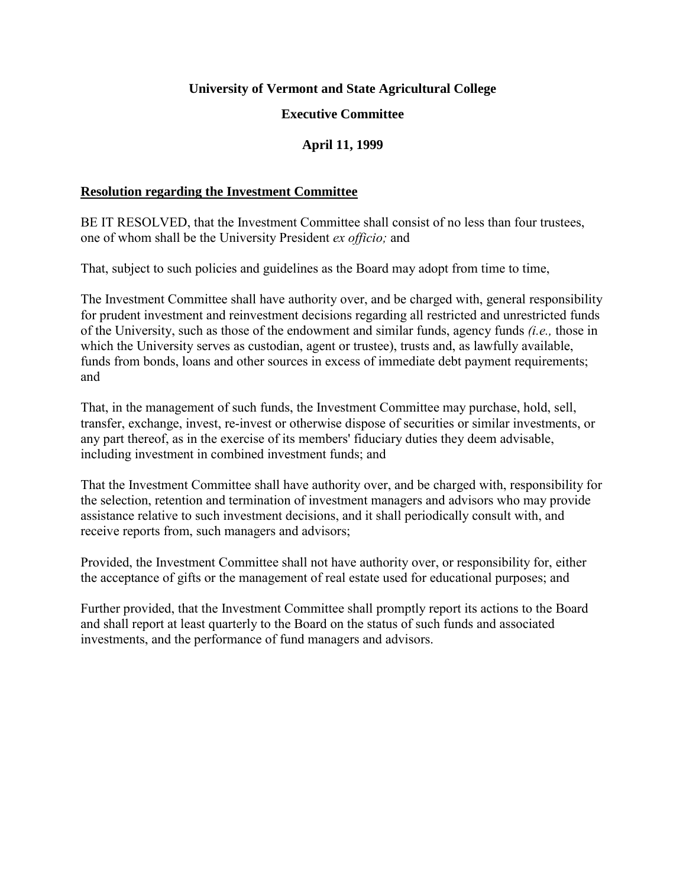#### **University of Vermont and State Agricultural College**

#### **Executive Committee**

### **April 11, 1999**

#### <span id="page-17-0"></span>**Resolution regarding the Investment Committee**

BE IT RESOLVED, that the Investment Committee shall consist of no less than four trustees, one of whom shall be the University President *ex officio;* and

That, subject to such policies and guidelines as the Board may adopt from time to time,

The Investment Committee shall have authority over, and be charged with, general responsibility for prudent investment and reinvestment decisions regarding all restricted and unrestricted funds of the University, such as those of the endowment and similar funds, agency funds *(i.e.,* those in which the University serves as custodian, agent or trustee), trusts and, as lawfully available, funds from bonds, loans and other sources in excess of immediate debt payment requirements; and

That, in the management of such funds, the Investment Committee may purchase, hold, sell, transfer, exchange, invest, re-invest or otherwise dispose of securities or similar investments, or any part thereof, as in the exercise of its members' fiduciary duties they deem advisable, including investment in combined investment funds; and

That the Investment Committee shall have authority over, and be charged with, responsibility for the selection, retention and termination of investment managers and advisors who may provide assistance relative to such investment decisions, and it shall periodically consult with, and receive reports from, such managers and advisors;

Provided, the Investment Committee shall not have authority over, or responsibility for, either the acceptance of gifts or the management of real estate used for educational purposes; and

Further provided, that the Investment Committee shall promptly report its actions to the Board and shall report at least quarterly to the Board on the status of such funds and associated investments, and the performance of fund managers and advisors.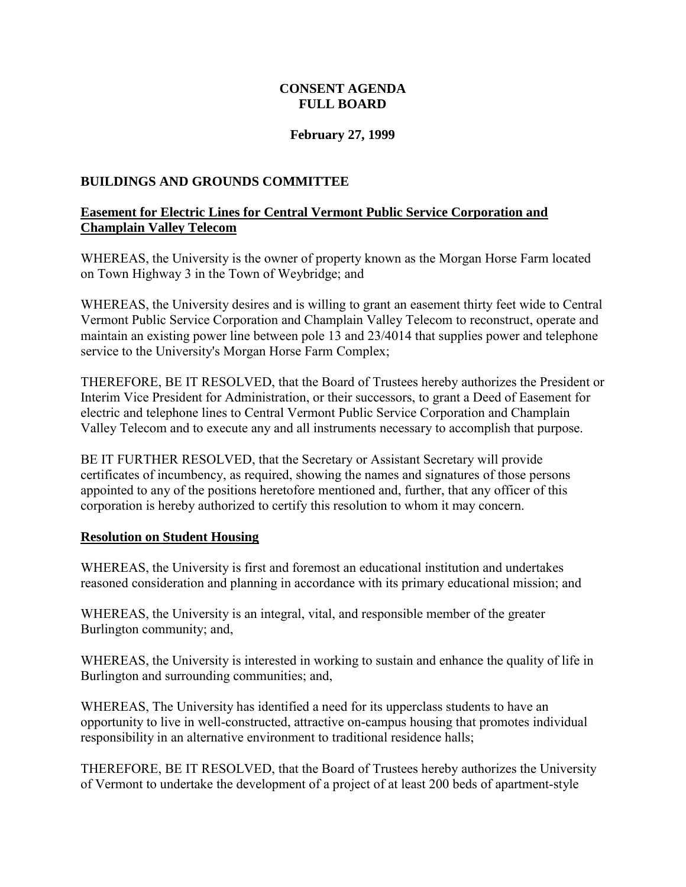### **CONSENT AGENDA FULL BOARD**

#### **February 27, 1999**

#### <span id="page-18-0"></span>**BUILDINGS AND GROUNDS COMMITTEE**

#### **Easement for Electric Lines for Central Vermont Public Service Corporation and Champlain Valley Telecom**

WHEREAS, the University is the owner of property known as the Morgan Horse Farm located on Town Highway 3 in the Town of Weybridge; and

WHEREAS, the University desires and is willing to grant an easement thirty feet wide to Central Vermont Public Service Corporation and Champlain Valley Telecom to reconstruct, operate and maintain an existing power line between pole 13 and 23/4014 that supplies power and telephone service to the University's Morgan Horse Farm Complex;

THEREFORE, BE IT RESOLVED, that the Board of Trustees hereby authorizes the President or Interim Vice President for Administration, or their successors, to grant a Deed of Easement for electric and telephone lines to Central Vermont Public Service Corporation and Champlain Valley Telecom and to execute any and all instruments necessary to accomplish that purpose.

BE IT FURTHER RESOLVED, that the Secretary or Assistant Secretary will provide certificates of incumbency, as required, showing the names and signatures of those persons appointed to any of the positions heretofore mentioned and, further, that any officer of this corporation is hereby authorized to certify this resolution to whom it may concern.

#### **Resolution on Student Housing**

WHEREAS, the University is first and foremost an educational institution and undertakes reasoned consideration and planning in accordance with its primary educational mission; and

WHEREAS, the University is an integral, vital, and responsible member of the greater Burlington community; and,

WHEREAS, the University is interested in working to sustain and enhance the quality of life in Burlington and surrounding communities; and,

WHEREAS, The University has identified a need for its upperclass students to have an opportunity to live in well-constructed, attractive on-campus housing that promotes individual responsibility in an alternative environment to traditional residence halls;

THEREFORE, BE IT RESOLVED, that the Board of Trustees hereby authorizes the University of Vermont to undertake the development of a project of at least 200 beds of apartment-style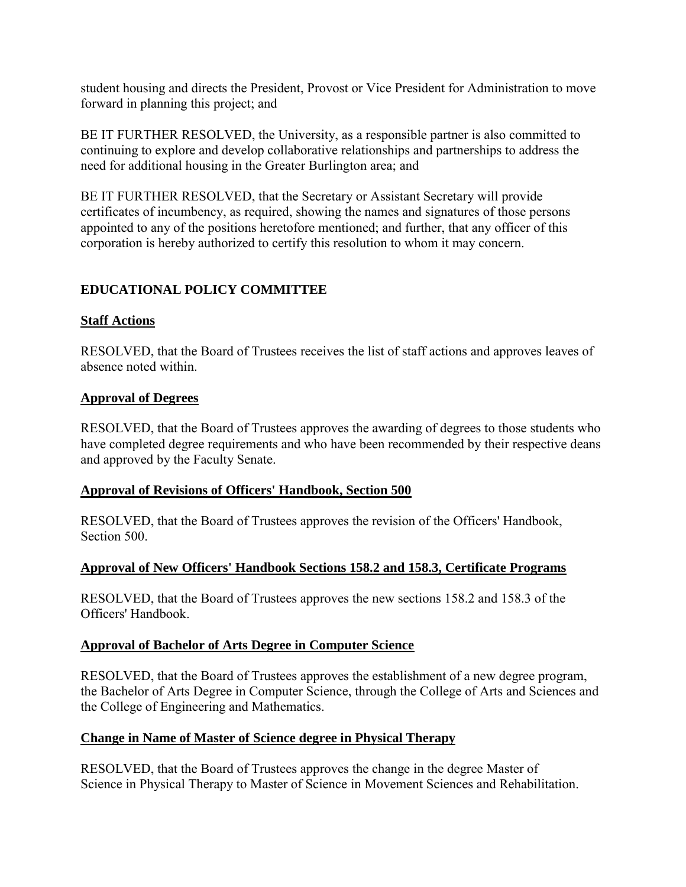<span id="page-19-0"></span>student housing and directs the President, Provost or Vice President for Administration to move forward in planning this project; and

BE IT FURTHER RESOLVED, the University, as a responsible partner is also committed to continuing to explore and develop collaborative relationships and partnerships to address the need for additional housing in the Greater Burlington area; and

BE IT FURTHER RESOLVED, that the Secretary or Assistant Secretary will provide certificates of incumbency, as required, showing the names and signatures of those persons appointed to any of the positions heretofore mentioned; and further, that any officer of this corporation is hereby authorized to certify this resolution to whom it may concern.

# **EDUCATIONAL POLICY COMMITTEE**

### **Staff Actions**

RESOLVED, that the Board of Trustees receives the list of staff actions and approves leaves of absence noted within.

#### **Approval of Degrees**

RESOLVED, that the Board of Trustees approves the awarding of degrees to those students who have completed degree requirements and who have been recommended by their respective deans and approved by the Faculty Senate.

#### **Approval of Revisions of Officers' Handbook, Section 500**

RESOLVED, that the Board of Trustees approves the revision of the Officers' Handbook, Section 500.

### **Approval of New Officers' Handbook Sections 158.2 and 158.3, Certificate Programs**

RESOLVED, that the Board of Trustees approves the new sections 158.2 and 158.3 of the Officers' Handbook.

### **Approval of Bachelor of Arts Degree in Computer Science**

RESOLVED, that the Board of Trustees approves the establishment of a new degree program, the Bachelor of Arts Degree in Computer Science, through the College of Arts and Sciences and the College of Engineering and Mathematics.

### **Change in Name of Master of Science degree in Physical Therapy**

RESOLVED, that the Board of Trustees approves the change in the degree Master of Science in Physical Therapy to Master of Science in Movement Sciences and Rehabilitation.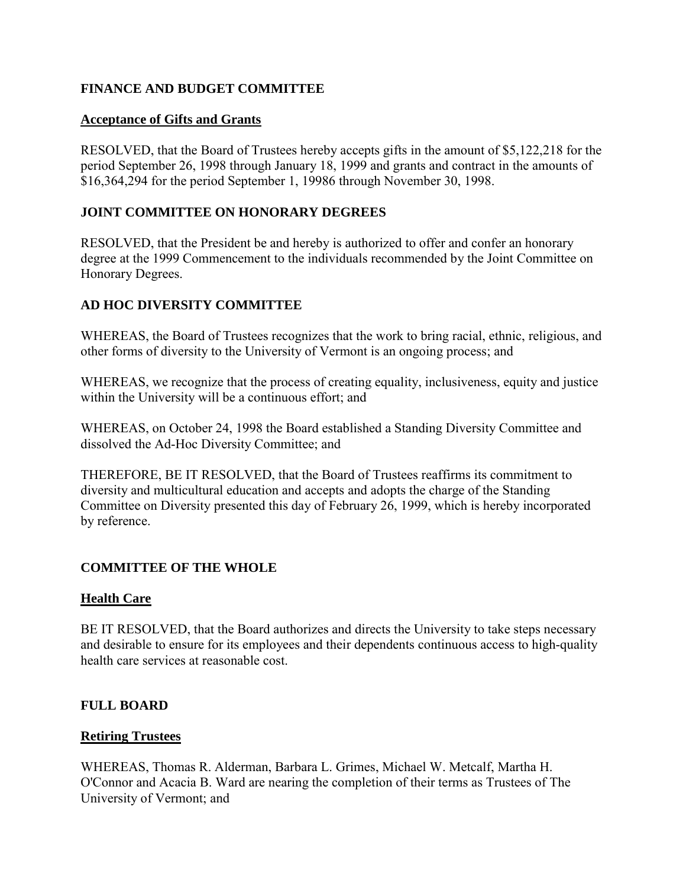## <span id="page-20-0"></span>**FINANCE AND BUDGET COMMITTEE**

#### **Acceptance of Gifts and Grants**

RESOLVED, that the Board of Trustees hereby accepts gifts in the amount of \$5,122,218 for the period September 26, 1998 through January 18, 1999 and grants and contract in the amounts of \$16,364,294 for the period September 1, 19986 through November 30, 1998.

### **JOINT COMMITTEE ON HONORARY DEGREES**

RESOLVED, that the President be and hereby is authorized to offer and confer an honorary degree at the 1999 Commencement to the individuals recommended by the Joint Committee on Honorary Degrees.

## **AD HOC DIVERSITY COMMITTEE**

WHEREAS, the Board of Trustees recognizes that the work to bring racial, ethnic, religious, and other forms of diversity to the University of Vermont is an ongoing process; and

WHEREAS, we recognize that the process of creating equality, inclusiveness, equity and justice within the University will be a continuous effort; and

WHEREAS, on October 24, 1998 the Board established a Standing Diversity Committee and dissolved the Ad-Hoc Diversity Committee; and

THEREFORE, BE IT RESOLVED, that the Board of Trustees reaffirms its commitment to diversity and multicultural education and accepts and adopts the charge of the Standing Committee on Diversity presented this day of February 26, 1999, which is hereby incorporated by reference.

# **COMMITTEE OF THE WHOLE**

### **Health Care**

BE IT RESOLVED, that the Board authorizes and directs the University to take steps necessary and desirable to ensure for its employees and their dependents continuous access to high-quality health care services at reasonable cost.

### **FULL BOARD**

#### **Retiring Trustees**

WHEREAS, Thomas R. Alderman, Barbara L. Grimes, Michael W. Metcalf, Martha H. O'Connor and Acacia B. Ward are nearing the completion of their terms as Trustees of The University of Vermont; and